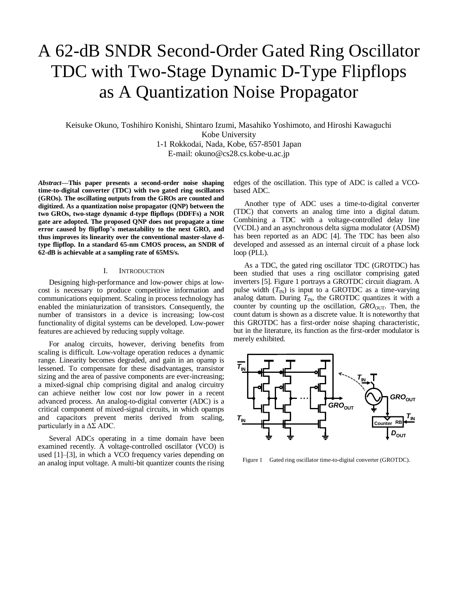# A 62-dB SNDR Second-Order Gated Ring Oscillator TDC with Two-Stage Dynamic D-Type Flipflops as A Quantization Noise Propagator

Keisuke Okuno, Toshihiro Konishi, Shintaro Izumi, Masahiko Yoshimoto, and Hiroshi Kawaguchi Kobe University 1-1 Rokkodai, Nada, Kobe, 657-8501 Japan

E-mail: [okuno@cs28.cs.kobe-u.ac.jp](mailto:okuno@cs28.cs.kobe-u.ac.jp)

*Abstract***—This paper presents a second-order noise shaping time-to-digital converter (TDC) with two gated ring oscillators (GROs). The oscillating outputs from the GROs are counted and digitized. As a quantization noise propagator (QNP) between the two GROs, two-stage dynamic d-type flipflops (DDFFs) a NOR gate are adopted. The proposed QNP does not propagate a time error caused by flipflop's metastability to the next GRO, and thus improves its linearity over the conventional master-slave dtype flipflop. In a standard 65-nm CMOS process, an SNDR of 62-dB is achievable at a sampling rate of 65MS/s.**

## I. INTRODUCTION

Designing high-performance and low-power chips at lowcost is necessary to produce competitive information and communications equipment. Scaling in process technology has enabled the miniaturization of transistors. Consequently, the number of transistors in a device is increasing; low-cost functionality of digital systems can be developed. Low-power features are achieved by reducing supply voltage.

For analog circuits, however, deriving benefits from scaling is difficult. Low-voltage operation reduces a dynamic range. Linearity becomes degraded, and gain in an opamp is lessened. To compensate for these disadvantages, transistor sizing and the area of passive components are ever-increasing; a mixed-signal chip comprising digital and analog circuitry can achieve neither low cost nor low power in a recent advanced process. An analog-to-digital converter (ADC) is a critical component of mixed-signal circuits, in which opamps and capacitors prevent merits derived from scaling, particularly in a  $\Delta\Sigma$  ADC.

Several ADCs operating in a time domain have been examined recently. A voltage-controlled oscillator (VCO) is used [\[1\]](#page-3-0)[–\[3\],](#page-3-1) in which a VCO frequency varies depending on an analog input voltage. A multi-bit quantizer counts the rising edges of the oscillation. This type of ADC is called a VCObased ADC.

Another type of ADC uses a time-to-digital converter (TDC) that converts an analog time into a digital datum. Combining a TDC with a voltage-controlled delay line (VCDL) and an asynchronous delta sigma modulator (ADSM) has been reported as an ADC [\[4\].](#page-3-2) The TDC has been also developed and assessed as an internal circuit of a phase lock loop (PLL).

As a TDC, the gated ring oscillator TDC (GROTDC) has been studied that uses a ring oscillator comprising gated inverter[s \[5\].](#page-3-3) Figure 1 portrays a GROTDC circuit diagram. A pulse width  $(T_{\text{IN}})$  is input to a GROTDC as a time-varying analog datum. During  $T_{\text{IN}}$ , the GROTDC quantizes it with a counter by counting up the oscillation, *GRO*<sub>OUT</sub>. Then, the count datum is shown as a discrete value. It is noteworthy that this GROTDC has a first-order noise shaping characteristic, but in the literature, its function as the first-order modulator is merely exhibited.



Figure 1 Gated ring oscillator time-to-digital converter (GROTDC).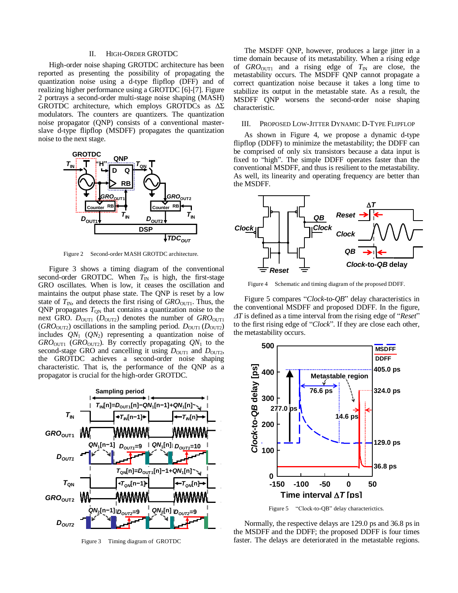## II. HIGH-ORDER GROTDC

High-order noise shaping GROTDC architecture has been reported as presenting the possibility of propagating the quantization noise using a d-type flipflop (DFF) and of realizing higher performance using a GROTD[C \[6\]-](#page-3-4)[7]. Figure 2 portrays a second-order multi-stage noise shaping (MASH) GROTDC architecture, which employs GROTDCs as  $\Delta\Sigma$ modulators. The counters are quantizers. The quantization noise propagator (QNP) consists of a conventional masterslave d-type flipflop (MSDFF) propagates the quantization noise to the next stage.



Figure 2 Second-order MASH GROTDC architecture.

Figure 3 shows a timing diagram of the conventional second-order GROTDC. When  $T_{\text{IN}}$  is high, the first-stage GRO oscillates. When is low, it ceases the oscillation and maintains the output phase state. The QNP is reset by a low state of  $T_{\text{IN}}$ , and detects the first rising of  $GRO_{\text{OUT1}}$ . Thus, the QNP propagates  $T_{\text{QN}}$  that contains a quantization noise to the next GRO.  $D_{\text{OUT1}}$  ( $D_{\text{OUT2}}$ ) denotes the number of  $GRO_{\text{OUT1}}$ (*GRO*<sub>OUT2</sub>) oscillations in the sampling period.  $D_{\text{OUT1}}(D_{\text{OUT2}})$ includes  $QN_1$  ( $QN_2$ ) representing a quantization noise of *GRO*OUT1 (*GRO*OUT2). By correctly propagating *QN*<sup>1</sup> to the second-stage GRO and cancelling it using  $D_{\text{OUT1}}$  and  $D_{\text{OUT2}}$ , the GROTDC achieves a second-order noise shaping characteristic. That is, the performance of the QNP as a propagator is crucial for the high-order GROTDC.



Figure 3 Timing diagram of GROTDC

The MSDFF QNP, however, produces a large jitter in a time domain because of its metastability. When a rising edge of  $GRO<sub>OUT1</sub>$  and a rising edge of  $T<sub>IN</sub>$  are close, the metastability occurs. The MSDFF QNP cannot propagate a correct quantization noise because it takes a long time to stabilize its output in the metastable state. As a result, the MSDFF QNP worsens the second-order noise shaping characteristic.

## III. PROPOSED LOW-JITTER DYNAMIC D-TYPE FLIPFLOP

As shown in [Figure 4,](#page-1-0) we propose a dynamic d-type flipflop (DDFF) to minimize the metastability; the DDFF can be comprised of only six transistors because a data input is fixed to "high". The simple DDFF operates faster than the conventional MSDFF, and thus is resilient to the metastability. As well, its linearity and operating frequency are better than the MSDFF.



<span id="page-1-0"></span>Figure 4 Schematic and timing diagram of the proposed DDFF.

[Figure 5](#page-1-1) compares "*Clock*-to-*QB*" delay characteristics in the conventional MSDFF and proposed DDFF. In the figure, *T* is defined as a time interval from the rising edge of "*Reset*" to the first rising edge of "*Clock*". If they are close each other, the metastability occurs.



Figure 5 "Clock-to-QB" delay characterictics.

<span id="page-1-1"></span>Normally, the respective delays are 129.0 ps and 36.8 ps in the MSDFF and the DDFF; the proposed DDFF is four times faster. The delays are deteriorated in the metastable regions.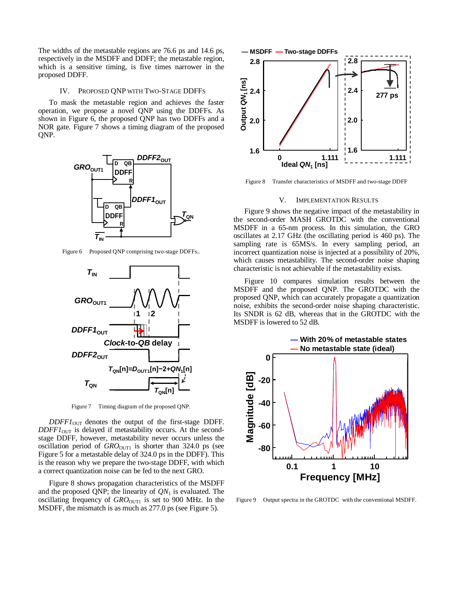The widths of the metastable regions are 76.6 ps and 14.6 ps, respectively in the MSDFF and DDFF; the metastable region, which is a sensitive timing, is five times narrower in the proposed DDFF.

# IV. PROPOSED QNP WITH TWO-STAGE DDFFS

To mask the metastable region and achieves the faster operation, we propose a novel QNP using the DDFFs. As shown in [Figure 6,](#page-2-0) the proposed QNP has two DDFFs and a NOR gate. [Figure 7](#page-2-1) shows a timing diagram of the proposed QNP.



<span id="page-2-0"></span>Figure 6 Proposed QNP comprising two-stage DDFFs..



Figure 7 Timing diagram of the proposed QNP.

<span id="page-2-1"></span> $DDFF1_{\text{OUT}}$  denotes the output of the first-stage DDFF.  $DDFF1<sub>OUT</sub>$  is delayed if metastability occurs. At the secondstage DDFF, however, metastability never occurs unless the oscillation period of  $GRO<sub>OUT1</sub>$  is shorter than 324.0 ps (see Figure 5 for a metastable delay of 324.0 ps in the DDFF). This is the reason why we prepare the two-stage DDFF, with which a correct quantization noise can be fed to the next GRO.

[Figure 8](#page-2-2) shows propagation characteristics of the MSDFF and the proposed QNP; the linearity of  $ON<sub>1</sub>$  is evaluated. The oscillating frequency of *GRO*<sub>OUT1</sub> is set to 900 MHz. In the MSDFF, the mismatch is as much as 277.0 ps (see Figure 5).



<span id="page-2-2"></span>Figure 8 Transfer characteristics of MSDFF and two-stage DDFF

## V. IMPLEMENTATION RESULTS

Figure 9 shows the negative impact of the metastability in the second-order MASH GROTDC with the conventional MSDFF in a 65-nm process. In this simulation, the GRO oscillates at 2.17 GHz (the oscillating period is 460 ps). The sampling rate is 65MS/s. In every sampling period, an incorrect quantization noise is injected at a possibility of 20%, which causes metastability. The second-order noise shaping characteristic is not achievable if the metastability exists.

Figure 10 compares simulation results between the MSDFF and the proposed QNP. The GROTDC with the proposed QNP, which can accurately propagate a quantization noise, exhibits the second-order noise shaping characteristic. Its SNDR is 62 dB, whereas that in the GROTDC with the MSDFF is lowered to 52 dB.



Figure 9 Output spectra in the GROTDC with the conventional MSDFF.